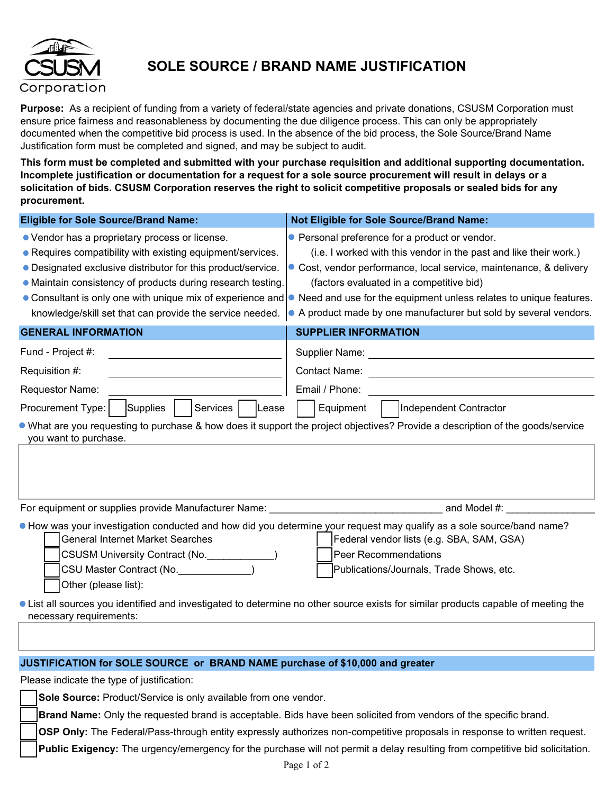

## **SOLE SOURCE / BRAND NAME JUSTIFICATION**

**Purpose:** As a recipient of funding from a variety of federal/state agencies and private donations, CSUSM Corporation must ensure price fairness and reasonableness by documenting the due diligence process. This can only be appropriately documented when the competitive bid process is used. In the absence of the bid process, the Sole Source/Brand Name Justification form must be completed and signed, and may be subject to audit.

**This form must be completed and submitted with your purchase requisition and additional supporting documentation. Incomplete justification or documentation for a request for a sole source procurement will result in delays or a solicitation of bids. CSUSM Corporation reserves the right to solicit competitive proposals or sealed bids for any procurement.**

| <b>Eligible for Sole Source/Brand Name:</b>                                                                                                                                                                                                                                                                                                                          | <b>Not Eligible for Sole Source/Brand Name:</b>                                                                                                                                                                                                                                                                                                                                   |  |  |  |  |
|----------------------------------------------------------------------------------------------------------------------------------------------------------------------------------------------------------------------------------------------------------------------------------------------------------------------------------------------------------------------|-----------------------------------------------------------------------------------------------------------------------------------------------------------------------------------------------------------------------------------------------------------------------------------------------------------------------------------------------------------------------------------|--|--|--|--|
| • Vendor has a proprietary process or license.<br>• Requires compatibility with existing equipment/services.<br>• Designated exclusive distributor for this product/service.<br>• Maintain consistency of products during research testing<br>• Consultant is only one with unique mix of experience and<br>knowledge/skill set that can provide the service needed. | • Personal preference for a product or vendor.<br>(i.e. I worked with this vendor in the past and like their work.)<br>• Cost, vendor performance, local service, maintenance, & delivery<br>(factors evaluated in a competitive bid)<br>• Need and use for the equipment unless relates to unique features.<br>• A product made by one manufacturer but sold by several vendors. |  |  |  |  |
| <b>GENERAL INFORMATION</b>                                                                                                                                                                                                                                                                                                                                           | <b>SUPPLIER INFORMATION</b>                                                                                                                                                                                                                                                                                                                                                       |  |  |  |  |
| Fund - Project #:                                                                                                                                                                                                                                                                                                                                                    |                                                                                                                                                                                                                                                                                                                                                                                   |  |  |  |  |
| Requisition #:                                                                                                                                                                                                                                                                                                                                                       | <b>Contact Name:</b><br><u> 1989 - John Stein, Amerikaansk politiker (</u>                                                                                                                                                                                                                                                                                                        |  |  |  |  |
| Requestor Name:                                                                                                                                                                                                                                                                                                                                                      | Email / Phone:                                                                                                                                                                                                                                                                                                                                                                    |  |  |  |  |
| Services<br>Procurement Type:<br>Supplies<br>Lease                                                                                                                                                                                                                                                                                                                   | Independent Contractor<br>Equipment                                                                                                                                                                                                                                                                                                                                               |  |  |  |  |
| • What are you requesting to purchase & how does it support the project objectives? Provide a description of the goods/service<br>you want to purchase.                                                                                                                                                                                                              |                                                                                                                                                                                                                                                                                                                                                                                   |  |  |  |  |
|                                                                                                                                                                                                                                                                                                                                                                      |                                                                                                                                                                                                                                                                                                                                                                                   |  |  |  |  |
| • How was your investigation conducted and how did you determine your request may qualify as a sole source/band name?                                                                                                                                                                                                                                                |                                                                                                                                                                                                                                                                                                                                                                                   |  |  |  |  |
| <b>General Internet Market Searches</b>                                                                                                                                                                                                                                                                                                                              | Federal vendor lists (e.g. SBA, SAM, GSA)                                                                                                                                                                                                                                                                                                                                         |  |  |  |  |
| CSUSM University Contract (No. \\state \\state \\state \\state \\state \\state \\state \\state \\state \\state \\state \\state \\state \\state \\state \\state \\state \\state \\state \\state \\state \\state \\state \\state                                                                                                                                       | Peer Recommendations                                                                                                                                                                                                                                                                                                                                                              |  |  |  |  |
| CSU Master Contract (No. 1992)                                                                                                                                                                                                                                                                                                                                       | Publications/Journals, Trade Shows, etc.                                                                                                                                                                                                                                                                                                                                          |  |  |  |  |
| Other (please list):                                                                                                                                                                                                                                                                                                                                                 |                                                                                                                                                                                                                                                                                                                                                                                   |  |  |  |  |
|                                                                                                                                                                                                                                                                                                                                                                      | • List all sources you identified and investigated to determine no other source exists for similar products capable of meeting the                                                                                                                                                                                                                                                |  |  |  |  |
| necessary requirements:                                                                                                                                                                                                                                                                                                                                              |                                                                                                                                                                                                                                                                                                                                                                                   |  |  |  |  |
|                                                                                                                                                                                                                                                                                                                                                                      |                                                                                                                                                                                                                                                                                                                                                                                   |  |  |  |  |

## **JUSTIFICATION for SOLE SOURCE or BRAND NAME purchase of \$10,000 and greater**

Please indicate the type of justification:

**Sole Source:** Product/Service is only available from one vendor.

**Brand Name:** Only the requested brand is acceptable. Bids have been solicited from vendors of the specific brand.

**OSP Only:** The Federal/Pass-through entity expressly authorizes non-competitive proposals in response to written request.

**Public Exigency:** The urgency/emergency for the purchase will not permit a delay resulting from competitive bid solicitation.